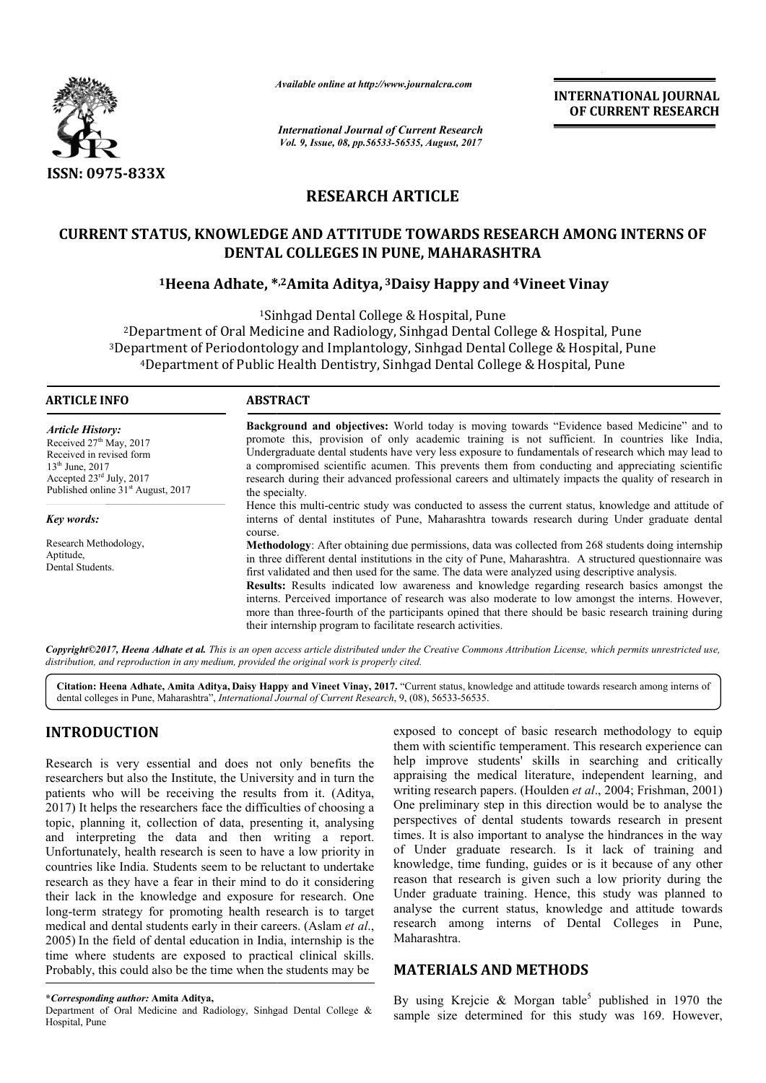

*Available online at http://www.journal http://www.journalcra.com*

# **RESEARCH ARTICLE**

## **CURRENT STATUS, KNOWLEDGE AND ATTITUDE TOWARDS RESEARCH AMONG INTERNS OF RESEARCH AMONG INTERNS DENTAL COLLEGES IN PUNE, MAHARASHTRA**

# **1Heena Adhate, \* \*,2Amita Aditya, 3Daisy Happy and 4Vineet Vinay Vineet**

|                                                                                                                                                                                                                                                                                                                                                                                                                                                                                                                                                                                                                                                                                                                                                                                                                                                                                                                                                                                                                                                   | -глините опине иг пир.//www.journaicra.com                                                                                                                                                                                                                                                                                                                                                                                                                                                                                                                                                                                                                                                   |                                                                                                                                                                                                                                                                                                                                                                                                                                                                                                                                                                                                                                                                                                                                                                                                                                                                                                                                                              | <b>INTERNATIONAL JOURNAL</b><br>OF CURRENT RESEARCH                                                                                                            |
|---------------------------------------------------------------------------------------------------------------------------------------------------------------------------------------------------------------------------------------------------------------------------------------------------------------------------------------------------------------------------------------------------------------------------------------------------------------------------------------------------------------------------------------------------------------------------------------------------------------------------------------------------------------------------------------------------------------------------------------------------------------------------------------------------------------------------------------------------------------------------------------------------------------------------------------------------------------------------------------------------------------------------------------------------|----------------------------------------------------------------------------------------------------------------------------------------------------------------------------------------------------------------------------------------------------------------------------------------------------------------------------------------------------------------------------------------------------------------------------------------------------------------------------------------------------------------------------------------------------------------------------------------------------------------------------------------------------------------------------------------------|--------------------------------------------------------------------------------------------------------------------------------------------------------------------------------------------------------------------------------------------------------------------------------------------------------------------------------------------------------------------------------------------------------------------------------------------------------------------------------------------------------------------------------------------------------------------------------------------------------------------------------------------------------------------------------------------------------------------------------------------------------------------------------------------------------------------------------------------------------------------------------------------------------------------------------------------------------------|----------------------------------------------------------------------------------------------------------------------------------------------------------------|
|                                                                                                                                                                                                                                                                                                                                                                                                                                                                                                                                                                                                                                                                                                                                                                                                                                                                                                                                                                                                                                                   | <b>International Journal of Current Research</b><br>Vol. 9, Issue, 08, pp.56533-56535, August, 2017                                                                                                                                                                                                                                                                                                                                                                                                                                                                                                                                                                                          |                                                                                                                                                                                                                                                                                                                                                                                                                                                                                                                                                                                                                                                                                                                                                                                                                                                                                                                                                              |                                                                                                                                                                |
| <b>ISSN: 0975-833X</b>                                                                                                                                                                                                                                                                                                                                                                                                                                                                                                                                                                                                                                                                                                                                                                                                                                                                                                                                                                                                                            |                                                                                                                                                                                                                                                                                                                                                                                                                                                                                                                                                                                                                                                                                              |                                                                                                                                                                                                                                                                                                                                                                                                                                                                                                                                                                                                                                                                                                                                                                                                                                                                                                                                                              |                                                                                                                                                                |
|                                                                                                                                                                                                                                                                                                                                                                                                                                                                                                                                                                                                                                                                                                                                                                                                                                                                                                                                                                                                                                                   | <b>RESEARCH ARTICLE</b>                                                                                                                                                                                                                                                                                                                                                                                                                                                                                                                                                                                                                                                                      |                                                                                                                                                                                                                                                                                                                                                                                                                                                                                                                                                                                                                                                                                                                                                                                                                                                                                                                                                              |                                                                                                                                                                |
|                                                                                                                                                                                                                                                                                                                                                                                                                                                                                                                                                                                                                                                                                                                                                                                                                                                                                                                                                                                                                                                   | DENTAL COLLEGES IN PUNE, MAHARASHTRA                                                                                                                                                                                                                                                                                                                                                                                                                                                                                                                                                                                                                                                         |                                                                                                                                                                                                                                                                                                                                                                                                                                                                                                                                                                                                                                                                                                                                                                                                                                                                                                                                                              | <b>CURRENT STATUS, KNOWLEDGE AND ATTITUDE TOWARDS RESEARCH AMONG INTERNS OF</b>                                                                                |
|                                                                                                                                                                                                                                                                                                                                                                                                                                                                                                                                                                                                                                                                                                                                                                                                                                                                                                                                                                                                                                                   | <sup>1</sup> Heena Adhate, *, <sup>2</sup> Amita Aditya, <sup>3</sup> Daisy Happy and <sup>4</sup> Vineet Vinay                                                                                                                                                                                                                                                                                                                                                                                                                                                                                                                                                                              |                                                                                                                                                                                                                                                                                                                                                                                                                                                                                                                                                                                                                                                                                                                                                                                                                                                                                                                                                              |                                                                                                                                                                |
|                                                                                                                                                                                                                                                                                                                                                                                                                                                                                                                                                                                                                                                                                                                                                                                                                                                                                                                                                                                                                                                   | <sup>1</sup> Sinhgad Dental College & Hospital, Pune<br><sup>2</sup> Department of Oral Medicine and Radiology, Sinhgad Dental College & Hospital, Pune<br><sup>3</sup> Department of Periodontology and Implantology, Sinhgad Dental College & Hospital, Pune<br><sup>4</sup> Department of Public Health Dentistry, Sinhgad Dental College & Hospital, Pune                                                                                                                                                                                                                                                                                                                                |                                                                                                                                                                                                                                                                                                                                                                                                                                                                                                                                                                                                                                                                                                                                                                                                                                                                                                                                                              |                                                                                                                                                                |
| <b>ARTICLE INFO</b>                                                                                                                                                                                                                                                                                                                                                                                                                                                                                                                                                                                                                                                                                                                                                                                                                                                                                                                                                                                                                               | <b>ABSTRACT</b>                                                                                                                                                                                                                                                                                                                                                                                                                                                                                                                                                                                                                                                                              |                                                                                                                                                                                                                                                                                                                                                                                                                                                                                                                                                                                                                                                                                                                                                                                                                                                                                                                                                              |                                                                                                                                                                |
| <b>Article History:</b><br>Received 27th May, 2017<br>Received in revised form<br>13 <sup>th</sup> June, 2017<br>Accepted 23rd July, 2017<br>Published online 31 <sup>st</sup> August, 2017                                                                                                                                                                                                                                                                                                                                                                                                                                                                                                                                                                                                                                                                                                                                                                                                                                                       | Background and objectives: World today is moving towards "Evidence based Medicine" and to<br>promote this, provision of only academic training is not sufficient. In countries like India,<br>Undergraduate dental students have very less exposure to fundamentals of research which may lead to<br>a compromised scientific acumen. This prevents them from conducting and appreciating scientific<br>research during their advanced professional careers and ultimately impacts the quality of research in<br>the specialty.<br>Hence this multi-centric study was conducted to assess the current status, knowledge and attitude of                                                      |                                                                                                                                                                                                                                                                                                                                                                                                                                                                                                                                                                                                                                                                                                                                                                                                                                                                                                                                                              |                                                                                                                                                                |
| Key words:                                                                                                                                                                                                                                                                                                                                                                                                                                                                                                                                                                                                                                                                                                                                                                                                                                                                                                                                                                                                                                        | interns of dental institutes of Pune, Maharashtra towards research during Under graduate dental<br>course.                                                                                                                                                                                                                                                                                                                                                                                                                                                                                                                                                                                   |                                                                                                                                                                                                                                                                                                                                                                                                                                                                                                                                                                                                                                                                                                                                                                                                                                                                                                                                                              |                                                                                                                                                                |
| Research Methodology,<br>Aptitude,<br>Dental Students.                                                                                                                                                                                                                                                                                                                                                                                                                                                                                                                                                                                                                                                                                                                                                                                                                                                                                                                                                                                            | Methodology: After obtaining due permissions, data was collected from 268 students doing internship<br>in three different dental institutions in the city of Pune, Maharashtra. A structured questionnaire was<br>first validated and then used for the same. The data were analyzed using descriptive analysis.<br>Results: Results indicated low awareness and knowledge regarding research basics amongst the<br>interns. Perceived importance of research was also moderate to low amongst the interns. However,<br>more than three-fourth of the participants opined that there should be basic research training during<br>their internship program to facilitate research activities. |                                                                                                                                                                                                                                                                                                                                                                                                                                                                                                                                                                                                                                                                                                                                                                                                                                                                                                                                                              |                                                                                                                                                                |
| distribution, and reproduction in any medium, provided the original work is properly cited.                                                                                                                                                                                                                                                                                                                                                                                                                                                                                                                                                                                                                                                                                                                                                                                                                                                                                                                                                       |                                                                                                                                                                                                                                                                                                                                                                                                                                                                                                                                                                                                                                                                                              |                                                                                                                                                                                                                                                                                                                                                                                                                                                                                                                                                                                                                                                                                                                                                                                                                                                                                                                                                              | Copyright©2017, Heena Adhate et al. This is an open access article distributed under the Creative Commons Attribution License, which permits unrestricted use, |
|                                                                                                                                                                                                                                                                                                                                                                                                                                                                                                                                                                                                                                                                                                                                                                                                                                                                                                                                                                                                                                                   | dental colleges in Pune, Maharashtra", International Journal of Current Research, 9, (08), 56533-56535.                                                                                                                                                                                                                                                                                                                                                                                                                                                                                                                                                                                      |                                                                                                                                                                                                                                                                                                                                                                                                                                                                                                                                                                                                                                                                                                                                                                                                                                                                                                                                                              | Citation: Heena Adhate, Amita Aditya, Daisy Happy and Vineet Vinay, 2017. "Current status, knowledge and attitude towards research among interns of            |
| <b>INTRODUCTION</b><br>Research is very essential and does not only benefits the<br>researchers but also the Institute, the University and in turn the<br>patients who will be receiving the results from it. (Aditya,<br>2017) It helps the researchers face the difficulties of choosing a<br>topic, planning it, collection of data, presenting it, analysing<br>and interpreting the data and then writing a report.<br>Unfortunately, health research is seen to have a low priority in<br>countries like India. Students seem to be reluctant to undertake<br>research as they have a fear in their mind to do it considering<br>their lack in the knowledge and exposure for research. One<br>long-term strategy for promoting health research is to target<br>medical and dental students early in their careers. (Aslam et al.,<br>2005) In the field of dental education in India, internship is the<br>time where students are exposed to practical clinical skills.<br>Probably, this could also be the time when the students may be |                                                                                                                                                                                                                                                                                                                                                                                                                                                                                                                                                                                                                                                                                              | exposed to concept of basic research methodology to equip<br>them with scientific temperament. This research experience can<br>help improve students' skills in searching and critically<br>appraising the medical literature, independent learning, and<br>writing research papers. (Houlden et al., 2004; Frishman, 2001)<br>One preliminary step in this direction would be to analyse the<br>perspectives of dental students towards research in present<br>times. It is also important to analyse the hindrances in the way<br>of Under graduate research. Is it lack of training and<br>knowledge, time funding, guides or is it because of any other<br>reason that research is given such a low priority during the<br>Under graduate training. Hence, this study was planned to<br>analyse the current status, knowledge and attitude towards<br>research among interns of Dental Colleges in Pune,<br>Maharashtra.<br><b>MATERIALS AND METHODS</b> |                                                                                                                                                                |
| *Corresponding author: Amita Aditya,<br>Department of Oral Medicine and Radiology, Sinhgad Dental College &<br>$U$ <sub>c</sub> onital $D$ <sub>11</sub>                                                                                                                                                                                                                                                                                                                                                                                                                                                                                                                                                                                                                                                                                                                                                                                                                                                                                          |                                                                                                                                                                                                                                                                                                                                                                                                                                                                                                                                                                                                                                                                                              |                                                                                                                                                                                                                                                                                                                                                                                                                                                                                                                                                                                                                                                                                                                                                                                                                                                                                                                                                              | By using Krejcie & Morgan table <sup>5</sup> published in 1970 the<br>sample size determined for this study was 169. However,                                  |

## **INTRODUCTION**

Department of Oral Medicine and Radiology, Sinhgad Dental College & Hospital, Pune

### **MATERIALS AND METHODS METHODS**

**<sup>\*</sup>***Corresponding author:* **Amita Aditya,**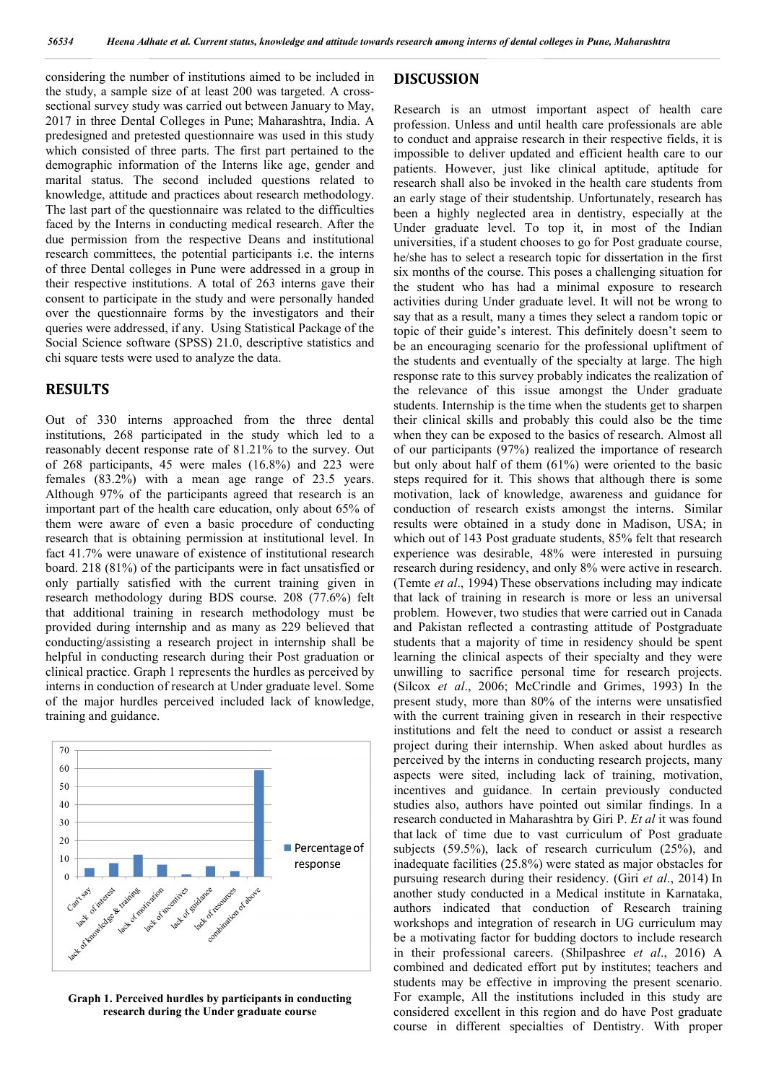considering the number of institutions aimed to be included in the study, a sample size of at least 200 was targeted. A crosssectional survey study was carried out between January to May, 2017 in three Dental Colleges in Pune; Maharashtra, India. A predesigned and pretested questionnaire was used in this study which consisted of three parts. The first part pertained to the demographic information of the Interns like age, gender and marital status. The second included questions related to knowledge, attitude and practices about research methodology. The last part of the questionnaire was related to the difficulties faced by the Interns in conducting medical research. After the due permission from the respective Deans and institutional research committees, the potential participants i.e. the interns of three Dental colleges in Pune were addressed in a group in their respective institutions. A total of 263 interns gave their consent to participate in the study and were personally handed over the questionnaire forms by the investigators and their queries were addressed, if any. Using Statistical Package of the Social Science software (SPSS) 21.0, descriptive statistics and chi square tests were used to analyze the data.

### **RESULTS**

Out of 330 interns approached from the three dental institutions, 268 participated in the study which led to a reasonably decent response rate of 81.21% to the survey. Out of 268 participants, 45 were males (16.8%) and 223 were females (83.2%) with a mean age range of 23.5 years. Although 97% of the participants agreed that research is an important part of the health care education, only about 65% of them were aware of even a basic procedure of conducting research that is obtaining permission at institutional level. In fact 41.7% were unaware of existence of institutional research board. 218 (81%) of the participants were in fact unsatisfied or only partially satisfied with the current training given in research methodology during BDS course. 208 (77.6%) felt that additional training in research methodology must be provided during internship and as many as 229 believed that conducting/assisting a research project in internship shall be helpful in conducting research during their Post graduation or clinical practice. Graph 1 represents the hurdles as perceived by interns in conduction of research at Under graduate level. Some of the major hurdles perceived included lack of knowledge, training and guidance.



**Graph 1. Perceived hurdles by participants in conducting research during the Under graduate course**

#### **DISCUSSION**

Research is an utmost important aspect of health care profession. Unless and until health care professionals are able to conduct and appraise research in their respective fields, it is impossible to deliver updated and efficient health care to our patients. However, just like clinical aptitude, aptitude for research shall also be invoked in the health care students from an early stage of their studentship. Unfortunately, research has been a highly neglected area in dentistry, especially at the Under graduate level. To top it, in most of the Indian universities, if a student chooses to go for Post graduate course, he/she has to select a research topic for dissertation in the first six months of the course. This poses a challenging situation for the student who has had a minimal exposure to research activities during Under graduate level. It will not be wrong to say that as a result, many a times they select a random topic or topic of their guide's interest. This definitely doesn't seem to be an encouraging scenario for the professional upliftment of the students and eventually of the specialty at large. The high response rate to this survey probably indicates the realization of the relevance of this issue amongst the Under graduate students. Internship is the time when the students get to sharpen their clinical skills and probably this could also be the time when they can be exposed to the basics of research. Almost all of our participants (97%) realized the importance of research but only about half of them (61%) were oriented to the basic steps required for it. This shows that although there is some motivation, lack of knowledge, awareness and guidance for conduction of research exists amongst the interns. Similar results were obtained in a study done in Madison, USA; in which out of 143 Post graduate students, 85% felt that research experience was desirable, 48% were interested in pursuing research during residency, and only 8% were active in research. (Temte *et al*., 1994) These observations including may indicate that lack of training in research is more or less an universal problem. However, two studies that were carried out in Canada and Pakistan reflected a contrasting attitude of Postgraduate students that a majority of time in residency should be spent learning the clinical aspects of their specialty and they were unwilling to sacrifice personal time for research projects. (Silcox *et al*., 2006; McCrindle and Grimes, 1993) In the present study, more than 80% of the interns were unsatisfied with the current training given in research in their respective institutions and felt the need to conduct or assist a research project during their internship. When asked about hurdles as perceived by the interns in conducting research projects, many aspects were sited, including lack of training, motivation, incentives and guidance. In certain previously conducted studies also, authors have pointed out similar findings. In a research conducted in Maharashtra by Giri P. *Et al* it was found that lack of time due to vast curriculum of Post graduate subjects (59.5%), lack of research curriculum (25%), and inadequate facilities (25.8%) were stated as major obstacles for pursuing research during their residency. (Giri *et al*., 2014) In another study conducted in a Medical institute in Karnataka, authors indicated that conduction of Research training workshops and integration of research in UG curriculum may be a motivating factor for budding doctors to include research in their professional careers. (Shilpashree *et al*., 2016) A combined and dedicated effort put by institutes; teachers and students may be effective in improving the present scenario. For example, All the institutions included in this study are considered excellent in this region and do have Post graduate course in different specialties of Dentistry. With proper